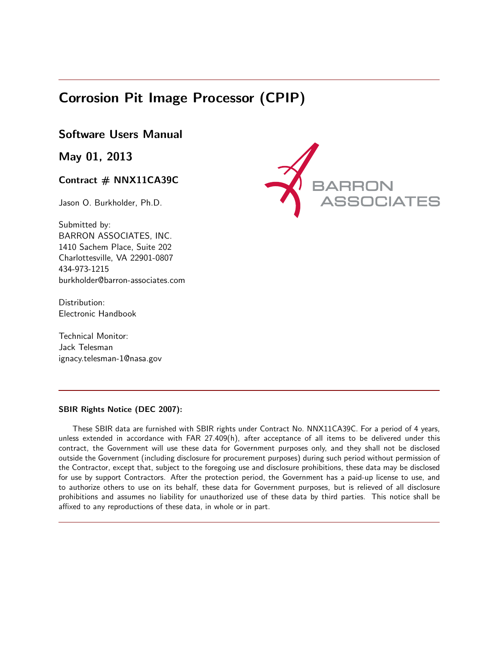# Corrosion Pit Image Processor (CPIP)

# Software Users Manual

May 01, 2013

### Contract # NNX11CA39C

Jason O. Burkholder, Ph.D.

Submitted by: BARRON ASSOCIATES, INC. 1410 Sachem Place, Suite 202 Charlottesville, VA 22901-0807 434-973-1215 burkholder@barron-associates.com

Distribution: Electronic Handbook

Technical Monitor: Jack Telesman ignacy.telesman-1@nasa.gov



### SBIR Rights Notice (DEC 2007):

These SBIR data are furnished with SBIR rights under Contract No. NNX11CA39C. For a period of 4 years, unless extended in accordance with FAR 27.409(h), after acceptance of all items to be delivered under this contract, the Government will use these data for Government purposes only, and they shall not be disclosed outside the Government (including disclosure for procurement purposes) during such period without permission of the Contractor, except that, subject to the foregoing use and disclosure prohibitions, these data may be disclosed for use by support Contractors. After the protection period, the Government has a paid-up license to use, and to authorize others to use on its behalf, these data for Government purposes, but is relieved of all disclosure prohibitions and assumes no liability for unauthorized use of these data by third parties. This notice shall be affixed to any reproductions of these data, in whole or in part.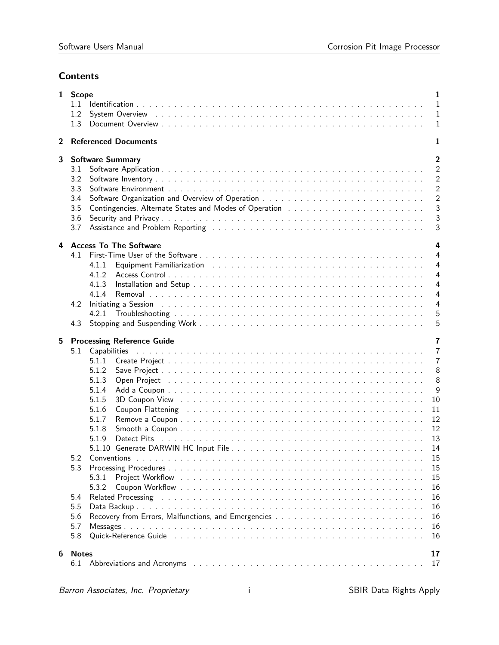## **Contents**

|                | $\mathbf{1}$<br>1 Scope<br>1.1<br>$\mathbf{1}$<br>1.2<br>System Overview research research response to research research response to response the system of the system of the system of the system of the system of the system of the system of the system of the system of the system<br>$\mathbf{1}$<br>1.3<br>$\mathbf{1}$                                                                                                                                                                                                                                                                                                                                                                                                                                                                |                                                                                                                                                |  |  |  |  |
|----------------|----------------------------------------------------------------------------------------------------------------------------------------------------------------------------------------------------------------------------------------------------------------------------------------------------------------------------------------------------------------------------------------------------------------------------------------------------------------------------------------------------------------------------------------------------------------------------------------------------------------------------------------------------------------------------------------------------------------------------------------------------------------------------------------------|------------------------------------------------------------------------------------------------------------------------------------------------|--|--|--|--|
| $\overline{2}$ | <b>Referenced Documents</b>                                                                                                                                                                                                                                                                                                                                                                                                                                                                                                                                                                                                                                                                                                                                                                  | 1                                                                                                                                              |  |  |  |  |
| 3              | $\overline{2}$<br><b>Software Summary</b><br>$\overline{2}$<br>3.1<br>2<br>3.2<br>2<br>3.3<br>$\overline{2}$<br>3.4<br>3<br>3.5<br>3<br>3.6<br>Assistance and Problem Reporting (Alberta Alberta Alberta Alberta Alberta Alberta Alberta Alberta Alberta Alberta Alberta Alberta Alberta Alberta Alberta Alberta Alberta Alberta Alberta Alberta Alberta Alberta Alberta Albe<br>3<br>3.7                                                                                                                                                                                                                                                                                                                                                                                                    |                                                                                                                                                |  |  |  |  |
| 4              | <b>Access To The Software</b><br>4.1<br>4.1.1<br>4.1.2<br>4.1.3<br>4.1.4<br>Initiating a Session end of the contract of the contract of the contract of the contract of the contract of the contract of the contract of the contract of the contract of the contract of the contract of the contract of th<br>4.2<br>4.2.1<br>4.3                                                                                                                                                                                                                                                                                                                                                                                                                                                            | 4<br>4<br>$\overline{4}$<br>$\overline{4}$<br>$\overline{4}$<br>$\overline{4}$<br>4<br>5<br>5                                                  |  |  |  |  |
| 5              | <b>Processing Reference Guide</b><br>5.1<br>5.1.1<br>5.1.2<br>5.1.3<br>Open Project (Alta and Alta and Alta and Alta and Alta and Alta and Alta and Alta and Alta and Alta and Alta a<br>5.1.4<br>5.1.5<br>5.1.6<br>Coupon Flattening enterprise in the contract of the contract of the contract of the contract of the contract of the contract of the contract of the contract of the contract of the contract of the contract of the contract o<br>5.1.7<br>5.1.8<br>5.1.9<br>5.1.10<br>5.2<br>5.3<br>5.3.1<br>5.3.2<br>5.4<br>Related Processing responses to the contract of the contract of the contract of the contract of the contract of the contract of the contract of the contract of the contract of the contract of the contract of the contract o<br>5.5<br>5.6<br>5.7<br>5.8 | 7<br>$\overline{7}$<br>$\overline{7}$<br>8<br>8<br>9<br>10<br>11<br>12<br>12<br>13<br>14<br>15<br>15<br>15<br>16<br>16<br>16<br>16<br>16<br>16 |  |  |  |  |
| 6              | <b>Notes</b><br>Abbreviations and Acronyms enterprise in the contract of the contract of the contract of the contract of the contract of the contract of the contract of the contract of the contract of the contract of the contract of the c<br>6.1                                                                                                                                                                                                                                                                                                                                                                                                                                                                                                                                        | 17<br>17                                                                                                                                       |  |  |  |  |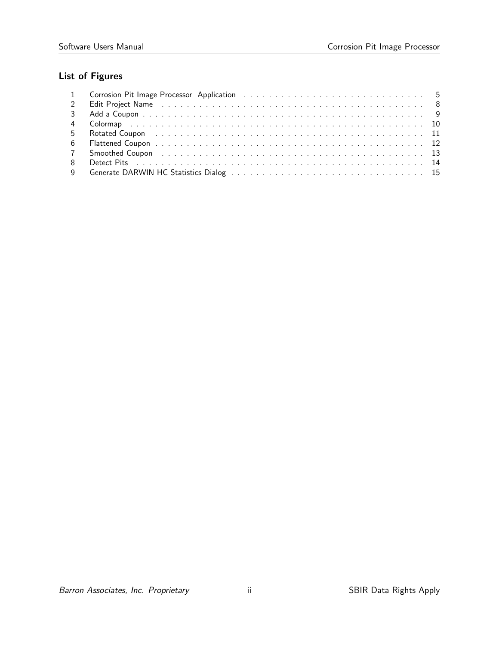# List of Figures

| 2 Edit Project Name (a) and a contract the contract of the contract of the contract of the Edit of the Contract of the Contract of the Contract of the Contract of the Contract of the Contract of the Contract of the Contrac |
|--------------------------------------------------------------------------------------------------------------------------------------------------------------------------------------------------------------------------------|
|                                                                                                                                                                                                                                |
|                                                                                                                                                                                                                                |
|                                                                                                                                                                                                                                |
|                                                                                                                                                                                                                                |
| 7 Smoothed Coupon research and the coupon of the coupon of the coupon of the coupon of the coupon of the coupon of the coupon of the coupon of the coupon of the coupon of the coupon of the coupon of the coupon of the coupo |
|                                                                                                                                                                                                                                |
|                                                                                                                                                                                                                                |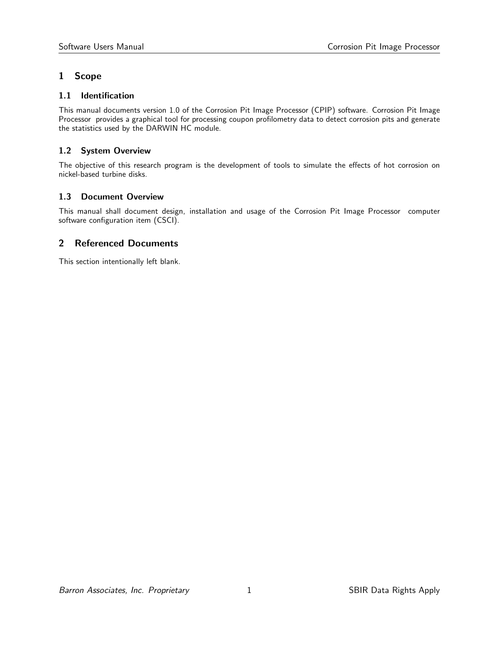### 1 Scope

### 1.1 Identification

This manual documents version 1.0 of the Corrosion Pit Image Processor (CPIP) software. Corrosion Pit Image Processor provides a graphical tool for processing coupon profilometry data to detect corrosion pits and generate the statistics used by the DARWIN HC module.

### 1.2 System Overview

The objective of this research program is the development of tools to simulate the effects of hot corrosion on nickel-based turbine disks.

### 1.3 Document Overview

This manual shall document design, installation and usage of the Corrosion Pit Image Processor computer software configuration item (CSCI).

### 2 Referenced Documents

This section intentionally left blank.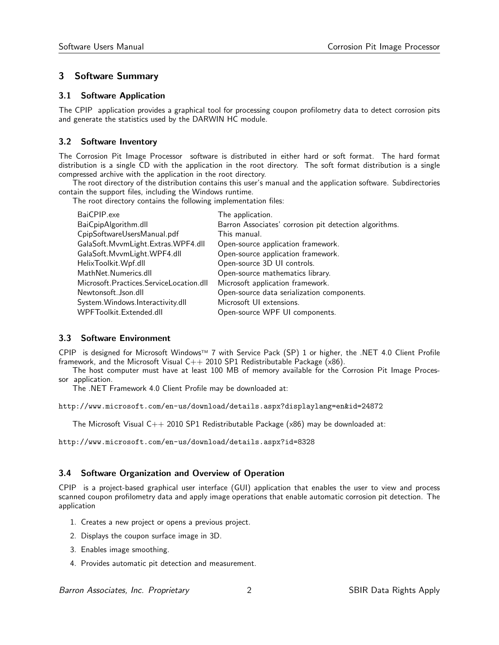### 3 Software Summary

#### 3.1 Software Application

The CPIP application provides a graphical tool for processing coupon profilometry data to detect corrosion pits and generate the statistics used by the DARWIN HC module.

### 3.2 Software Inventory

The Corrosion Pit Image Processor software is distributed in either hard or soft format. The hard format distribution is a single CD with the application in the root directory. The soft format distribution is a single compressed archive with the application in the root directory.

The root directory of the distribution contains this user's manual and the application software. Subdirectories contain the support files, including the Windows runtime.

The root directory contains the following implementation files:

| BaiCPIP.exe                             | The application.                                       |
|-----------------------------------------|--------------------------------------------------------|
| BaiCpipAlgorithm.dll                    | Barron Associates' corrosion pit detection algorithms. |
| CpipSoftwareUsersManual.pdf             | This manual.                                           |
| GalaSoft.MvvmLight.Extras.WPF4.dll      | Open-source application framework.                     |
| GalaSoft.MvvmLight.WPF4.dll             | Open-source application framework.                     |
| HelixToolkit.Wpf.dll                    | Open-source 3D UI controls.                            |
| MathNet.Numerics.dll                    | Open-source mathematics library.                       |
| Microsoft.Practices.ServiceLocation.dll | Microsoft application framework.                       |
| Newtonsoft.Json.dll                     | Open-source data serialization components.             |
| System.Windows.Interactivity.dll        | Microsoft UI extensions.                               |
| WPFToolkit.Extended.dll                 | Open-source WPF UI components.                         |

### 3.3 Software Environment

CPIP is designed for Microsoft Windows™ 7 with Service Pack (SP) 1 or higher, the .NET 4.0 Client Profile framework, and the Microsoft Visual  $C++2010$  SP1 Redistributable Package (x86).

The host computer must have at least 100 MB of memory available for the Corrosion Pit Image Processor application.

The .NET Framework 4.0 Client Profile may be downloaded at:

http://www.microsoft.com/en-us/download/details.aspx?displaylang=en&id=24872

The Microsoft Visual  $C_{++}$  2010 SP1 Redistributable Package ( $x86$ ) may be downloaded at:

http://www.microsoft.com/en-us/download/details.aspx?id=8328

### 3.4 Software Organization and Overview of Operation

CPIP is a project-based graphical user interface (GUI) application that enables the user to view and process scanned coupon profilometry data and apply image operations that enable automatic corrosion pit detection. The application

- 1. Creates a new project or opens a previous project.
- 2. Displays the coupon surface image in 3D.
- 3. Enables image smoothing.
- 4. Provides automatic pit detection and measurement.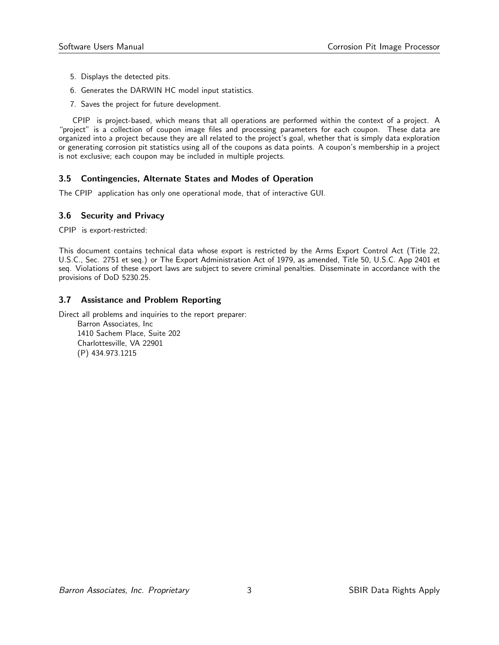- 5. Displays the detected pits.
- 6. Generates the DARWIN HC model input statistics.
- 7. Saves the project for future development.

CPIP is project-based, which means that all operations are performed within the context of a project. A "project" is a collection of coupon image files and processing parameters for each coupon. These data are organized into a project because they are all related to the project's goal, whether that is simply data exploration or generating corrosion pit statistics using all of the coupons as data points. A coupon's membership in a project is not exclusive; each coupon may be included in multiple projects.

### 3.5 Contingencies, Alternate States and Modes of Operation

The CPIP application has only one operational mode, that of interactive GUI.

### 3.6 Security and Privacy

CPIP is export-restricted:

This document contains technical data whose export is restricted by the Arms Export Control Act (Title 22, U.S.C., Sec. 2751 et seq.) or The Export Administration Act of 1979, as amended, Title 50, U.S.C. App 2401 et seq. Violations of these export laws are subject to severe criminal penalties. Disseminate in accordance with the provisions of DoD 5230.25.

### 3.7 Assistance and Problem Reporting

Direct all problems and inquiries to the report preparer:

Barron Associates, Inc 1410 Sachem Place, Suite 202 Charlottesville, VA 22901 (P) 434.973.1215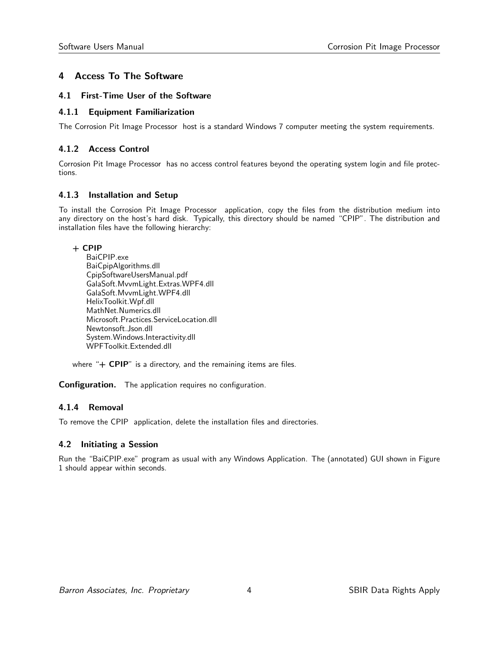### 4 Access To The Software

### 4.1 First-Time User of the Software

### 4.1.1 Equipment Familiarization

The Corrosion Pit Image Processor host is a standard Windows 7 computer meeting the system requirements.

### 4.1.2 Access Control

Corrosion Pit Image Processor has no access control features beyond the operating system login and file protections.

### 4.1.3 Installation and Setup

To install the Corrosion Pit Image Processor application, copy the files from the distribution medium into any directory on the host's hard disk. Typically, this directory should be named "CPIP". The distribution and installation files have the following hierarchy:

### + CPIP

BaiCPIP.exe BaiCpipAlgorithms.dll CpipSoftwareUsersManual.pdf GalaSoft.MvvmLight.Extras.WPF4.dll GalaSoft.MvvmLight.WPF4.dll HelixToolkit.Wpf.dll MathNet.Numerics.dll Microsoft.Practices.ServiceLocation.dll Newtonsoft.Json.dll System.Windows.Interactivity.dll WPFToolkit.Extended.dll

where "+ CPIP" is a directory, and the remaining items are files.

Configuration. The application requires no configuration.

### 4.1.4 Removal

To remove the CPIP application, delete the installation files and directories.

### 4.2 Initiating a Session

Run the "BaiCPIP.exe" program as usual with any Windows Application. The (annotated) GUI shown in Figure 1 should appear within seconds.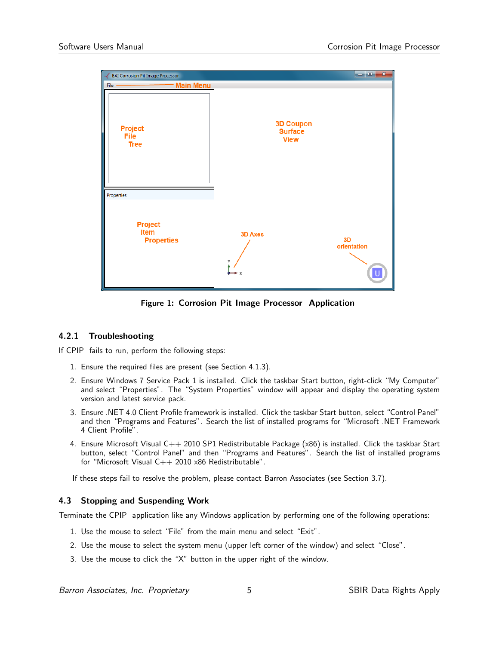

Figure 1: Corrosion Pit Image Processor Application

### 4.2.1 Troubleshooting

If CPIP fails to run, perform the following steps:

- 1. Ensure the required files are present (see Section 4.1.3).
- 2. Ensure Windows 7 Service Pack 1 is installed. Click the taskbar Start button, right-click "My Computer" and select "Properties". The "System Properties" window will appear and display the operating system version and latest service pack.
- 3. Ensure .NET 4.0 Client Profile framework is installed. Click the taskbar Start button, select "Control Panel" and then "Programs and Features". Search the list of installed programs for "Microsoft .NET Framework 4 Client Profile".
- 4. Ensure Microsoft Visual C++ 2010 SP1 Redistributable Package (x86) is installed. Click the taskbar Start button, select "Control Panel" and then "Programs and Features". Search the list of installed programs for "Microsoft Visual  $C++ 2010 \times 86$  Redistributable".

If these steps fail to resolve the problem, please contact Barron Associates (see Section 3.7).

### 4.3 Stopping and Suspending Work

Terminate the CPIP application like any Windows application by performing one of the following operations:

- 1. Use the mouse to select "File" from the main menu and select "Exit".
- 2. Use the mouse to select the system menu (upper left corner of the window) and select "Close".
- 3. Use the mouse to click the "X" button in the upper right of the window.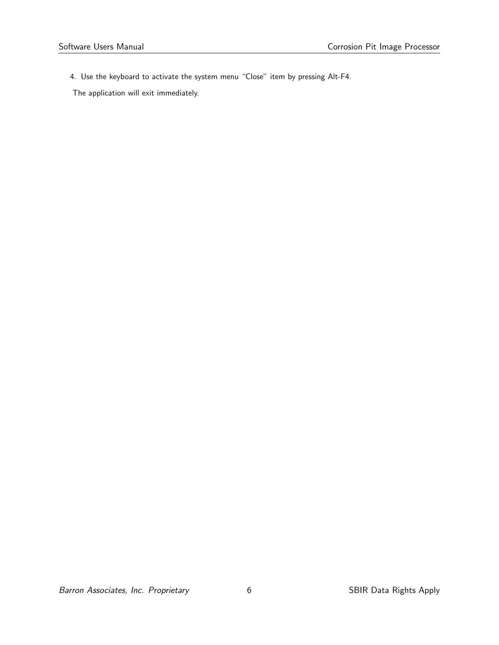4. Use the keyboard to activate the system menu "Close" item by pressing Alt-F4.

The application will exit immediately.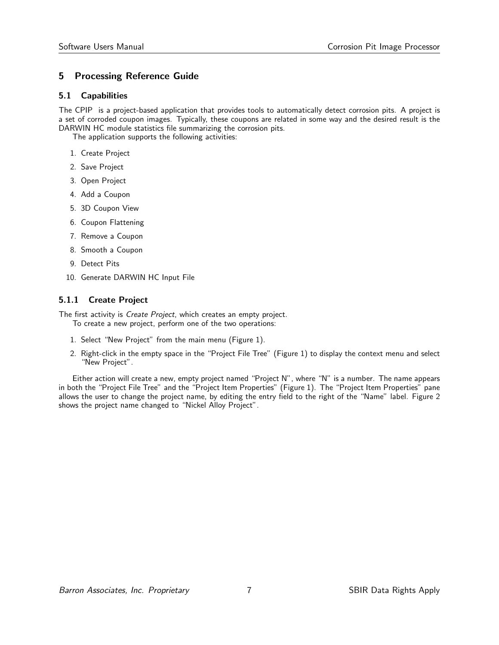### 5 Processing Reference Guide

### 5.1 Capabilities

The CPIP is a project-based application that provides tools to automatically detect corrosion pits. A project is a set of corroded coupon images. Typically, these coupons are related in some way and the desired result is the DARWIN HC module statistics file summarizing the corrosion pits.

The application supports the following activities:

- 1. Create Project
- 2. Save Project
- 3. Open Project
- 4. Add a Coupon
- 5. 3D Coupon View
- 6. Coupon Flattening
- 7. Remove a Coupon
- 8. Smooth a Coupon
- 9. Detect Pits
- 10. Generate DARWIN HC Input File

### 5.1.1 Create Project

The first activity is *Create Project*, which creates an empty project. To create a new project, perform one of the two operations:

- 1. Select "New Project" from the main menu (Figure 1).
- 2. Right-click in the empty space in the "Project File Tree" (Figure 1) to display the context menu and select "New Project".

Either action will create a new, empty project named "Project N", where "N" is a number. The name appears in both the "Project File Tree" and the "Project Item Properties" (Figure 1). The "Project Item Properties" pane allows the user to change the project name, by editing the entry field to the right of the "Name" label. Figure 2 shows the project name changed to "Nickel Alloy Project".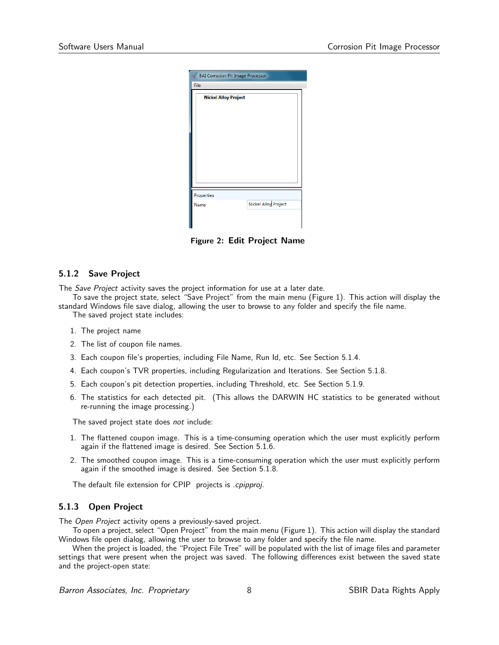| BAI Corrosion Pit Image Processor |                      |  |  |  |
|-----------------------------------|----------------------|--|--|--|
| File                              |                      |  |  |  |
| <b>Nickel Alloy Project</b>       |                      |  |  |  |
|                                   |                      |  |  |  |
|                                   |                      |  |  |  |
|                                   |                      |  |  |  |
|                                   |                      |  |  |  |
|                                   |                      |  |  |  |
|                                   |                      |  |  |  |
|                                   |                      |  |  |  |
| Properties                        |                      |  |  |  |
| Name                              | Nickel Alloy Project |  |  |  |
|                                   |                      |  |  |  |
|                                   |                      |  |  |  |

Figure 2: Edit Project Name

#### 5.1.2 Save Project

The Save Project activity saves the project information for use at a later date.

To save the project state, select "Save Project" from the main menu (Figure 1). This action will display the standard Windows file save dialog, allowing the user to browse to any folder and specify the file name.

The saved project state includes:

- 1. The project name
- 2. The list of coupon file names.
- 3. Each coupon file's properties, including File Name, Run Id, etc. See Section 5.1.4.
- 4. Each coupon's TVR properties, including Regularization and Iterations. See Section 5.1.8.
- 5. Each coupon's pit detection properties, including Threshold, etc. See Section 5.1.9.
- 6. The statistics for each detected pit. (This allows the DARWIN HC statistics to be generated without re-running the image processing.)

The saved project state does not include:

- 1. The flattened coupon image. This is a time-consuming operation which the user must explicitly perform again if the flattened image is desired. See Section 5.1.6.
- 2. The smoothed coupon image. This is a time-consuming operation which the user must explicitly perform again if the smoothed image is desired. See Section 5.1.8.

The default file extension for CPIP projects is .cpipproj.

#### 5.1.3 Open Project

The Open Project activity opens a previously-saved project.

To open a project, select "Open Project" from the main menu (Figure 1). This action will display the standard Windows file open dialog, allowing the user to browse to any folder and specify the file name.

When the project is loaded, the "Project File Tree" will be populated with the list of image files and parameter settings that were present when the project was saved. The following differences exist between the saved state and the project-open state: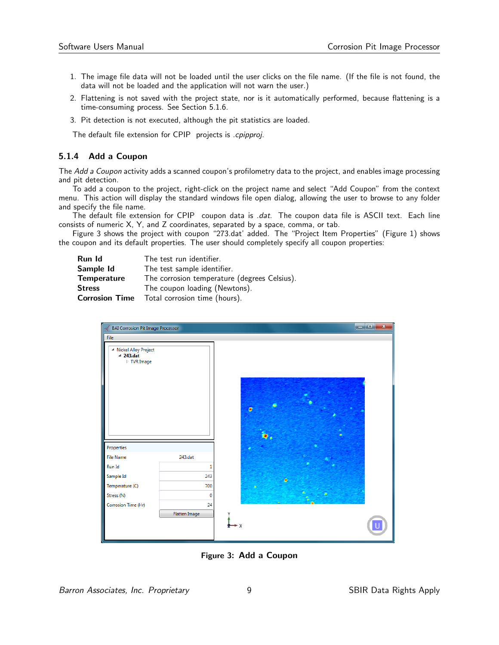- 1. The image file data will not be loaded until the user clicks on the file name. (If the file is not found, the data will not be loaded and the application will not warn the user.)
- 2. Flattening is not saved with the project state, nor is it automatically performed, because flattening is a time-consuming process. See Section 5.1.6.
- 3. Pit detection is not executed, although the pit statistics are loaded.

The default file extension for CPIP projects is .cpipproj.

#### 5.1.4 Add a Coupon

The Add a Coupon activity adds a scanned coupon's profilometry data to the project, and enables image processing and pit detection.

To add a coupon to the project, right-click on the project name and select "Add Coupon" from the context menu. This action will display the standard windows file open dialog, allowing the user to browse to any folder and specify the file name.

The default file extension for CPIP coupon data is .dat. The coupon data file is ASCII text. Each line consists of numeric X, Y, and Z coordinates, separated by a space, comma, or tab.

Figure 3 shows the project with coupon "273.dat' added. The "Project Item Properties" (Figure 1) shows the coupon and its default properties. The user should completely specify all coupon properties:

| Run Id             | The test run identifier.                            |  |  |
|--------------------|-----------------------------------------------------|--|--|
| Sample Id          | The test sample identifier.                         |  |  |
| <b>Temperature</b> | The corrosion temperature (degrees Celsius).        |  |  |
| <b>Stress</b>      | The coupon loading (Newtons).                       |  |  |
|                    | <b>Corrosion Time</b> Total corrosion time (hours). |  |  |

| <b>BAI Corrosion Pit Image Processor</b>                            |               |         |   |  | ر و او ا | $\overline{\mathbf{x}}$ |
|---------------------------------------------------------------------|---------------|---------|---|--|----------|-------------------------|
| File                                                                |               |         |   |  |          |                         |
| ▲ Nickel Alloy Project<br>$4$ 243.dat<br>$\triangleright$ TVR Image |               | ø<br>o. |   |  |          |                         |
| Properties                                                          |               |         |   |  |          |                         |
| <b>File Name</b>                                                    | 243.dat       |         |   |  |          |                         |
| Run Id                                                              | 1             |         |   |  |          |                         |
| Sample Id                                                           | 243           |         | ٠ |  |          |                         |
| Temperature (C)                                                     | 700           |         |   |  |          |                         |
| Stress (N)                                                          | 0             |         |   |  |          |                         |
| Corrosion Time (Hr)                                                 | 24            |         |   |  |          |                         |
|                                                                     | Flatten Image |         |   |  |          |                         |

Figure 3: Add a Coupon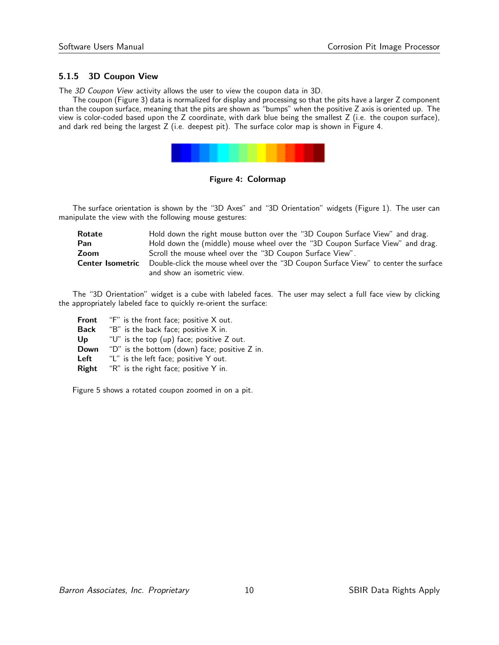### 5.1.5 3D Coupon View

The 3D Coupon View activity allows the user to view the coupon data in 3D.

The coupon (Figure 3) data is normalized for display and processing so that the pits have a larger Z component than the coupon surface, meaning that the pits are shown as "bumps" when the positive Z axis is oriented up. The view is color-coded based upon the Z coordinate, with dark blue being the smallest Z (i.e. the coupon surface), and dark red being the largest Z (i.e. deepest pit). The surface color map is shown in Figure 4.



Figure 4: Colormap

The surface orientation is shown by the "3D Axes" and "3D Orientation" widgets (Figure 1). The user can manipulate the view with the following mouse gestures:

| Rotate           | Hold down the right mouse button over the "3D Coupon Surface View" and drag.         |
|------------------|--------------------------------------------------------------------------------------|
| Pan              | Hold down the (middle) mouse wheel over the "3D Coupon Surface View" and drag.       |
| Zoom             | Scroll the mouse wheel over the "3D Coupon Surface View".                            |
| Center Isometric | Double-click the mouse wheel over the "3D Coupon Surface View" to center the surface |
|                  | and show an isometric view.                                                          |

The "3D Orientation" widget is a cube with labeled faces. The user may select a full face view by clicking the appropriately labeled face to quickly re-orient the surface:

Front "F" is the front face; positive X out. Back "B" is the back face; positive X in. Up  $U''$  is the top (up) face; positive Z out. Down "D" is the bottom (down) face; positive Z in. Left "L" is the left face; positive Y out. Right "R" is the right face; positive Y in.

Figure 5 shows a rotated coupon zoomed in on a pit.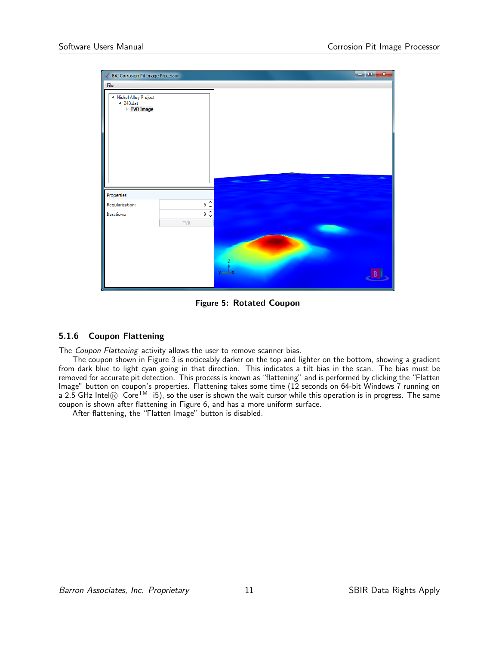| <b>BAI Corrosion Pit Image Processor</b>                  |                     |          | $\begin{array}{c c c c c} \hline \multicolumn{3}{c }{\textbf{E}} & \multicolumn{3}{c }{\textbf{X}} \\\hline \multicolumn{3}{c }{\textbf{E}} & \multicolumn{3}{c }{\textbf{X}} \\\hline \end{array}$ |
|-----------------------------------------------------------|---------------------|----------|-----------------------------------------------------------------------------------------------------------------------------------------------------------------------------------------------------|
| <b>File</b>                                               |                     |          |                                                                                                                                                                                                     |
| ▲ Nickel Alloy Project<br>$4$ 243.dat<br><b>TVR Image</b> |                     |          |                                                                                                                                                                                                     |
|                                                           |                     |          |                                                                                                                                                                                                     |
| Properties                                                |                     |          |                                                                                                                                                                                                     |
| Regularization:                                           | $\ddot{\cdot}$<br>6 |          |                                                                                                                                                                                                     |
| Iterations:                                               | $\hat{\cdot}$<br>9  |          |                                                                                                                                                                                                     |
|                                                           | <b>TVR</b>          |          |                                                                                                                                                                                                     |
|                                                           |                     | $v = -1$ |                                                                                                                                                                                                     |

Figure 5: Rotated Coupon

### 5.1.6 Coupon Flattening

The Coupon Flattening activity allows the user to remove scanner bias.

The coupon shown in Figure 3 is noticeably darker on the top and lighter on the bottom, showing a gradient from dark blue to light cyan going in that direction. This indicates a tilt bias in the scan. The bias must be removed for accurate pit detection. This process is known as "flattening" and is performed by clicking the "Flatten Image" button on coupon's properties. Flattening takes some time (12 seconds on 64-bit Windows 7 running on a 2.5 GHz Intel $\circledR$  Core<sup>TM</sup> i5), so the user is shown the wait cursor while this operation is in progress. The same coupon is shown after flattening in Figure 6, and has a more uniform surface.

After flattening, the "Flatten Image" button is disabled.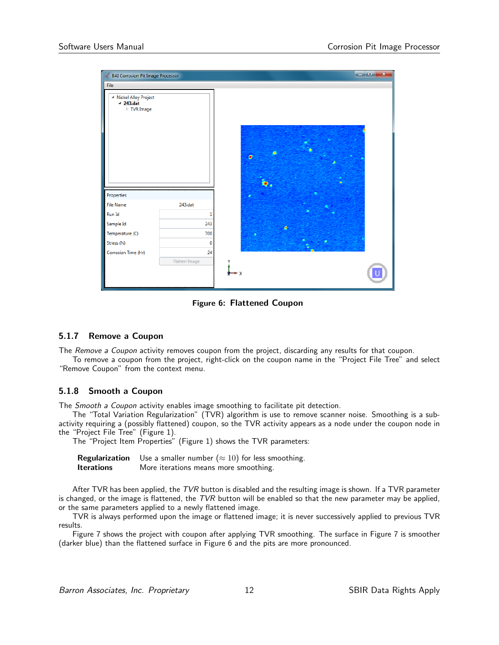| <b>BAI Corrosion Pit Image Processor</b>                            |               |   | $\begin{array}{c c c c c c} \hline \multicolumn{3}{c }{\mathbf{m}} & \multicolumn{3}{c }{\mathbf{m}} & \multicolumn{3}{c }{\mathbf{m}} & \multicolumn{3}{c }{\mathbf{m}} & \multicolumn{3}{c }{\mathbf{m}} & \multicolumn{3}{c }{\mathbf{m}} & \multicolumn{3}{c }{\mathbf{m}} & \multicolumn{3}{c }{\mathbf{m}} & \multicolumn{3}{c }{\mathbf{m}} & \multicolumn{3}{c }{\mathbf{m}} & \multicolumn{3}{c }{\mathbf{m}} & \multicolumn{3}{c }{\mathbf$ |
|---------------------------------------------------------------------|---------------|---|-------------------------------------------------------------------------------------------------------------------------------------------------------------------------------------------------------------------------------------------------------------------------------------------------------------------------------------------------------------------------------------------------------------------------------------------------------|
| File                                                                |               |   |                                                                                                                                                                                                                                                                                                                                                                                                                                                       |
| ▲ Nickel Alloy Project<br>$4$ 243.dat<br>$\triangleright$ TVR Image |               | ø |                                                                                                                                                                                                                                                                                                                                                                                                                                                       |
| Properties<br><b>File Name</b>                                      | 243.dat       |   |                                                                                                                                                                                                                                                                                                                                                                                                                                                       |
|                                                                     |               |   |                                                                                                                                                                                                                                                                                                                                                                                                                                                       |
| Run Id                                                              |               |   |                                                                                                                                                                                                                                                                                                                                                                                                                                                       |
| Sample Id                                                           | 243           | ۵ |                                                                                                                                                                                                                                                                                                                                                                                                                                                       |
| Temperature (C)                                                     | 700           |   |                                                                                                                                                                                                                                                                                                                                                                                                                                                       |
| Stress (N)                                                          | $\mathbf 0$   |   |                                                                                                                                                                                                                                                                                                                                                                                                                                                       |
| Corrosion Time (Hr)                                                 | 24            |   |                                                                                                                                                                                                                                                                                                                                                                                                                                                       |
|                                                                     | Flatten Image |   |                                                                                                                                                                                                                                                                                                                                                                                                                                                       |

Figure 6: Flattened Coupon

### 5.1.7 Remove a Coupon

The Remove a Coupon activity removes coupon from the project, discarding any results for that coupon.

To remove a coupon from the project, right-click on the coupon name in the "Project File Tree" and select "Remove Coupon" from the context menu.

### 5.1.8 Smooth a Coupon

The *Smooth a Coupon* activity enables image smoothing to facilitate pit detection.

The "Total Variation Regularization" (TVR) algorithm is use to remove scanner noise. Smoothing is a subactivity requiring a (possibly flattened) coupon, so the TVR activity appears as a node under the coupon node in the "Project File Tree" (Figure 1).

The "Project Item Properties" (Figure 1) shows the TVR parameters:

|                   | <b>Regularization</b> Use a smaller number $(\approx 10)$ for less smoothing. |
|-------------------|-------------------------------------------------------------------------------|
| <b>Iterations</b> | More iterations means more smoothing.                                         |

After TVR has been applied, the TVR button is disabled and the resulting image is shown. If a TVR parameter is changed, or the image is flattened, the  $TVR$  button will be enabled so that the new parameter may be applied, or the same parameters applied to a newly flattened image.

TVR is always performed upon the image or flattened image; it is never successively applied to previous TVR results.

Figure 7 shows the project with coupon after applying TVR smoothing. The surface in Figure 7 is smoother (darker blue) than the flattened surface in Figure 6 and the pits are more pronounced.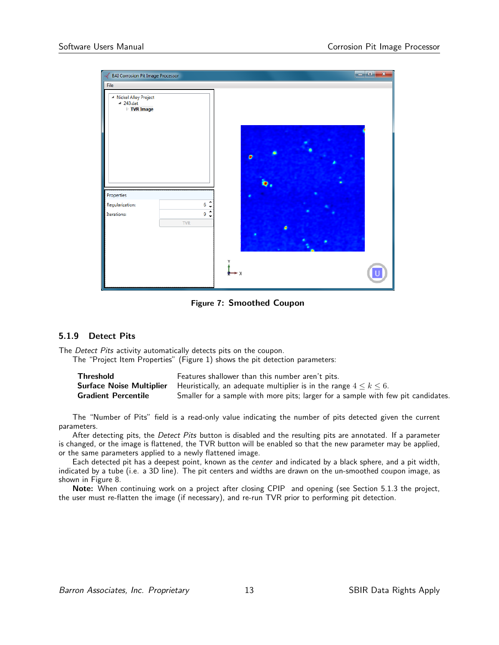| <b>BAI Corrosion Pit Image Processor</b>                  |                                  |   |  | $\blacksquare$<br>$\mathbf{x}$ |
|-----------------------------------------------------------|----------------------------------|---|--|--------------------------------|
| File                                                      |                                  |   |  |                                |
| ▲ Nickel Alloy Project<br>$4$ 243.dat<br><b>TVR Image</b> |                                  | Ω |  |                                |
| Properties                                                |                                  |   |  |                                |
| Regularization:                                           | ۸<br>6<br>$\ddot{\phantom{0}}$   |   |  |                                |
| Iterations:                                               | $\hat{\cdot}$<br>9<br><b>TVR</b> |   |  |                                |
|                                                           |                                  | X |  |                                |

Figure 7: Smoothed Coupon

### 5.1.9 Detect Pits

The Detect Pits activity automatically detects pits on the coupon.

The "Project Item Properties" (Figure 1) shows the pit detection parameters:

| <b>Threshold</b>           | Features shallower than this number aren't pits.                                                          |
|----------------------------|-----------------------------------------------------------------------------------------------------------|
|                            | <b>Surface Noise Multiplier</b> Heuristically, an adequate multiplier is in the range $4 \leq k \leq 6$ . |
| <b>Gradient Percentile</b> | Smaller for a sample with more pits; larger for a sample with few pit candidates.                         |

The "Number of Pits" field is a read-only value indicating the number of pits detected given the current parameters.

After detecting pits, the Detect Pits button is disabled and the resulting pits are annotated. If a parameter is changed, or the image is flattened, the TVR button will be enabled so that the new parameter may be applied, or the same parameters applied to a newly flattened image.

Each detected pit has a deepest point, known as the center and indicated by a black sphere, and a pit width, indicated by a tube (i.e. a 3D line). The pit centers and widths are drawn on the un-smoothed coupon image, as shown in Figure 8.

Note: When continuing work on a project after closing CPIP and opening (see Section 5.1.3 the project, the user must re-flatten the image (if necessary), and re-run TVR prior to performing pit detection.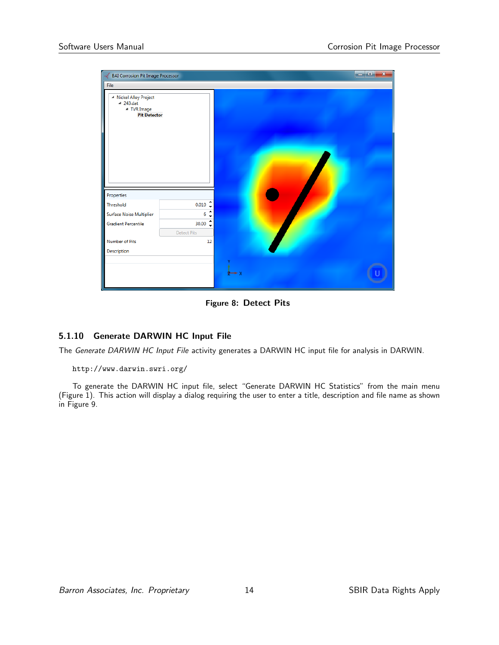| <b>BAI Corrosion Pit Image Processor</b>                                    |                                         |              | ر کر در<br>$\mathbf{x}$ |  |
|-----------------------------------------------------------------------------|-----------------------------------------|--------------|-------------------------|--|
| File                                                                        |                                         |              |                         |  |
| ▲ Nickel Alloy Project<br>$4$ 243.dat<br>▲ TVR Image<br><b>Pit Detector</b> |                                         |              |                         |  |
| Properties                                                                  |                                         |              |                         |  |
| Threshold                                                                   | ۰<br>0.010                              |              |                         |  |
| <b>Surface Noise Multiplier</b>                                             | 6                                       |              |                         |  |
| <b>Gradient Percentile</b>                                                  | $30.00 \begin{array}{cc} 2 \end{array}$ |              |                         |  |
|                                                                             | <b>Detect Pits</b>                      |              |                         |  |
| Number of Pits                                                              | 12                                      |              |                         |  |
| Description                                                                 |                                         |              |                         |  |
|                                                                             |                                         | $\mathbf{y}$ |                         |  |

Figure 8: Detect Pits

### 5.1.10 Generate DARWIN HC Input File

The Generate DARWIN HC Input File activity generates a DARWIN HC input file for analysis in DARWIN.

#### http://www.darwin.swri.org/

To generate the DARWIN HC input file, select "Generate DARWIN HC Statistics" from the main menu (Figure 1). This action will display a dialog requiring the user to enter a title, description and file name as shown in Figure 9.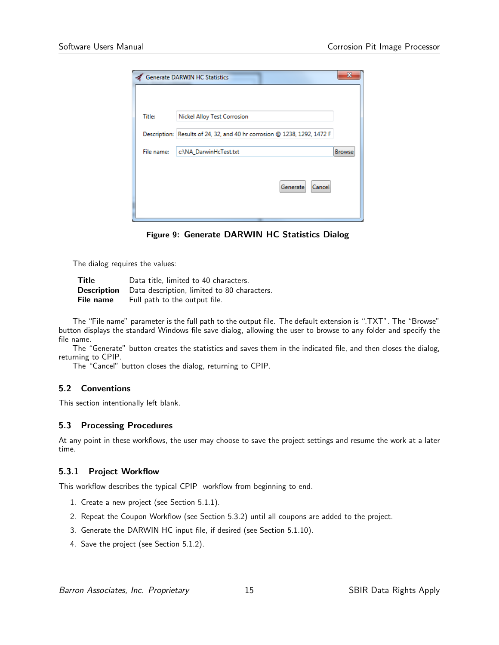| Generate DARWIN HC Statistics                                            | x             |
|--------------------------------------------------------------------------|---------------|
| Nickel Alloy Test Corrosion                                              |               |
| Description: Results of 24, 32, and 40 hr corrosion @ 1238, 1292, 1472 F |               |
| c:\NA_DarwinHcTest.txt                                                   | <b>Browse</b> |
| Cancel<br>Generate                                                       |               |
|                                                                          |               |

Figure 9: Generate DARWIN HC Statistics Dialog

The dialog requires the values:

| <b>Title</b> | Data title, limited to 40 characters.                          |
|--------------|----------------------------------------------------------------|
|              | <b>Description</b> Data description, limited to 80 characters. |
| File name    | Full path to the output file.                                  |

The "File name" parameter is the full path to the output file. The default extension is ".TXT". The "Browse" button displays the standard Windows file save dialog, allowing the user to browse to any folder and specify the file name.

The "Generate" button creates the statistics and saves them in the indicated file, and then closes the dialog, returning to CPIP.

The "Cancel" button closes the dialog, returning to CPIP.

### 5.2 Conventions

This section intentionally left blank.

### 5.3 Processing Procedures

At any point in these workflows, the user may choose to save the project settings and resume the work at a later time.

### 5.3.1 Project Workflow

This workflow describes the typical CPIP workflow from beginning to end.

- 1. Create a new project (see Section 5.1.1).
- 2. Repeat the Coupon Workflow (see Section 5.3.2) until all coupons are added to the project.
- 3. Generate the DARWIN HC input file, if desired (see Section 5.1.10).
- 4. Save the project (see Section 5.1.2).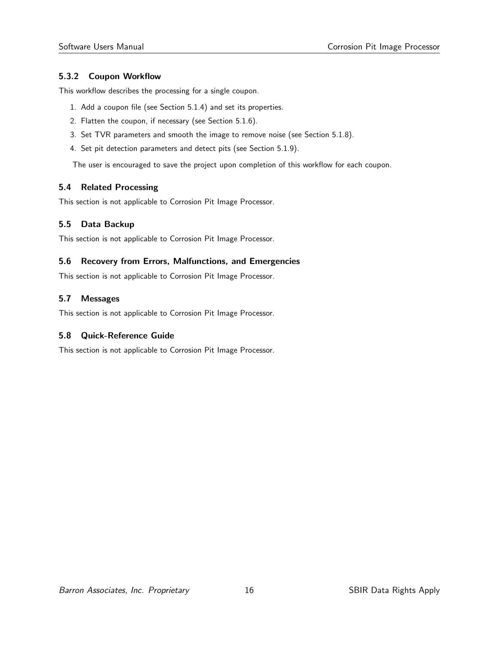### 5.3.2 Coupon Workflow

This workflow describes the processing for a single coupon.

- 1. Add a coupon file (see Section 5.1.4) and set its properties.
- 2. Flatten the coupon, if necessary (see Section 5.1.6).
- 3. Set TVR parameters and smooth the image to remove noise (see Section 5.1.8).
- 4. Set pit detection parameters and detect pits (see Section 5.1.9).

The user is encouraged to save the project upon completion of this workflow for each coupon.

### 5.4 Related Processing

This section is not applicable to Corrosion Pit Image Processor.

### 5.5 Data Backup

This section is not applicable to Corrosion Pit Image Processor.

### 5.6 Recovery from Errors, Malfunctions, and Emergencies

This section is not applicable to Corrosion Pit Image Processor.

### 5.7 Messages

This section is not applicable to Corrosion Pit Image Processor.

### 5.8 Quick-Reference Guide

This section is not applicable to Corrosion Pit Image Processor.